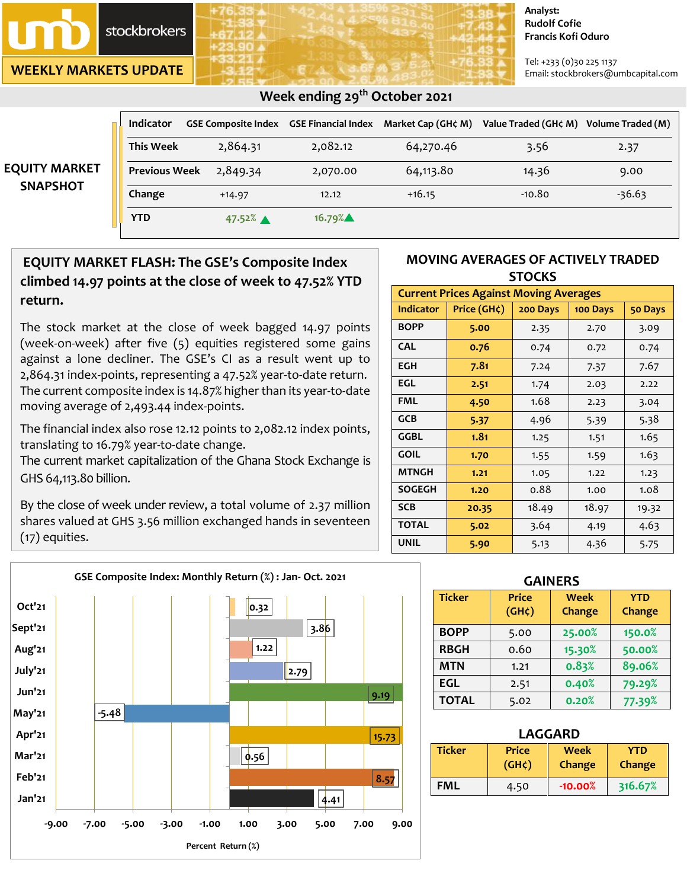

**WEEKLY MARKETS UPDATE**

#### **Analyst: Rudolf Cofie Francis Kofi Oduro**

Tel: +233 (0)30 225 1137 Email: stockbrokers@umbcapital.com

|                                         | Indicator            |                      |          | GSE Composite Index GSE Financial Index Market Cap (GH¢ M) | Value Traded (GH¢ M) | Volume Traded (M) |
|-----------------------------------------|----------------------|----------------------|----------|------------------------------------------------------------|----------------------|-------------------|
| <b>EQUITY MARKET</b><br><b>SNAPSHOT</b> | <b>This Week</b>     | 2,864.31             | 2,082.12 | 64,270.46                                                  | 3.56                 | 2.37              |
|                                         | <b>Previous Week</b> | 2,849.34             | 2,070.00 | 64,113.80                                                  | 14.36                | 9.00              |
|                                         | Change               | $+14.97$             | 12.12    | $+16.15$                                                   | -10.80               | $-36.63$          |
|                                         | <b>YTD</b>           | $47.52%$ $\triangle$ | 16.79%   |                                                            |                      |                   |

## **Week ending 29 th October 2021**

# **EQUITY MARKET FLASH: The GSE's Composite Index climbed 14.97 points at the close of week to 47.52% YTD return.**

The stock market at the close of week bagged 14.97 points (week-on-week) after five (5) equities registered some gains against a lone decliner. The GSE's CI as a result went up to 2,864.31 index-points, representing a 47.52% year-to-date return. The current composite index is 14.87% higher than its year-to-date moving average of 2,493.44 index-points.

The financial index also rose 12.12 points to 2,082.12 index points, translating to 16.79% year-to-date change.

The current market capitalization of the Ghana Stock Exchange is GHS 64,113.80 billion.

By the close of week under review, a total volume of 2.37 million shares valued at GHS 3.56 million exchanged hands in seventeen (17) equities.

### **MOVING AVERAGES OF ACTIVELY TRADED STOCKS**

| <b>Current Prices Against Moving Averages</b> |             |          |          |         |  |  |  |
|-----------------------------------------------|-------------|----------|----------|---------|--|--|--|
| <b>Indicator</b>                              | Price (GH¢) | 200 Days | 100 Days | 50 Days |  |  |  |
| <b>BOPP</b>                                   | 5.00        | 2.35     | 2.70     | 3.09    |  |  |  |
| <b>CAL</b>                                    | 0.76        | 0.74     | 0.72     | 0.74    |  |  |  |
| <b>EGH</b>                                    | 7.81        | 7.24     | 7.37     | 7.67    |  |  |  |
| EGL                                           | 2.51        | 1.74     | 2.03     | 2.22    |  |  |  |
| <b>FML</b>                                    | 4.50        | 1.68     | 2.23     | 3.04    |  |  |  |
| <b>GCB</b>                                    | 5.37        | 4.96     | 5.39     | 5.38    |  |  |  |
| GGBL                                          | 1.81        | 1.25     | 1.51     | 1.65    |  |  |  |
| <b>GOIL</b>                                   | 1.70        | 1.55     | 1.59     | 1.63    |  |  |  |
| <b>MTNGH</b>                                  | 1,21        | 1.05     | 1.22     | 1.23    |  |  |  |
| <b>SOGEGH</b>                                 | 1.20        | 0.88     | 1.00     | 1.08    |  |  |  |
| <b>SCB</b>                                    | 20.35       | 18.49    | 18.97    | 19.32   |  |  |  |
| <b>TOTAL</b>                                  | 5.02        | 3.64     | 4.19     | 4.63    |  |  |  |
| <b>UNIL</b>                                   | 5.90        | 5.13     | 4.36     | 5.75    |  |  |  |

| Oct'21  |         |         |         |         |         | 0.32 |      |      |       |      |
|---------|---------|---------|---------|---------|---------|------|------|------|-------|------|
| Sept'21 |         |         |         |         |         |      |      | 3.86 |       |      |
| Aug'21  |         |         |         |         |         | 1.22 |      |      |       |      |
| July'21 |         |         |         |         |         |      | 2.79 |      |       |      |
| Jun'21  |         |         |         |         |         |      |      |      | 9.19  |      |
| May'21  |         | $-5.48$ |         |         |         |      |      |      |       |      |
| Apr'21  |         |         |         |         |         |      |      |      | 15.73 |      |
| Mar'21  |         |         |         |         |         | 0.56 |      |      |       |      |
| Feb'21  |         |         |         |         |         |      |      |      | 8.57  |      |
| Jan'21  |         |         |         |         |         |      |      | 4.41 |       |      |
| $-9.00$ | $-7.00$ |         | $-5.00$ | $-3.00$ | $-1.00$ | 1.00 | 3.00 | 5.00 | 7.00  | 9.00 |

| <b>GAINERS</b> |                                    |                |                             |  |  |  |  |
|----------------|------------------------------------|----------------|-----------------------------|--|--|--|--|
| <b>Ticker</b>  | <b>Price</b><br>(GH <sub>c</sub> ) | Week<br>Change | <b>YTD</b><br><b>Change</b> |  |  |  |  |
| <b>BOPP</b>    | 5.00                               | 25.00%         | 150.0%                      |  |  |  |  |
| <b>RBGH</b>    | 0.60                               | 15.30%         | 50.00%                      |  |  |  |  |
| <b>MTN</b>     | 1.21                               | 0.83%          | 89.06%                      |  |  |  |  |
| <b>EGL</b>     | 2.51                               | 0.40%          | 79.29%                      |  |  |  |  |
| <b>TOTAL</b>   | 5.02                               | 0.20%          | 77.39%                      |  |  |  |  |

| LAGGARD       |                             |                       |                             |  |  |  |
|---------------|-----------------------------|-----------------------|-----------------------------|--|--|--|
| <b>Ticker</b> | <b>Price</b><br>$(GH\zeta)$ | <b>Week</b><br>Change | <b>YTD</b><br><b>Change</b> |  |  |  |
| <b>FML</b>    | 4.50                        | $-10.00%$             | 316.67%                     |  |  |  |